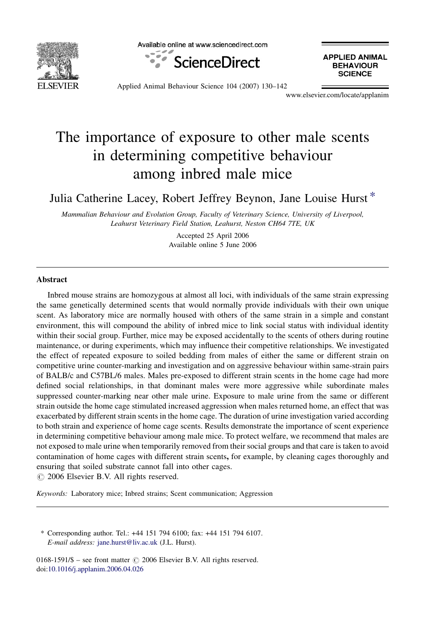

Available online at www.sciencedirect.com



**APPLIED ANIMAL BEHAVIOUR SCIENCE** 

Applied Animal Behaviour Science 104 (2007) 130–142

www.elsevier.com/locate/applanim

# The importance of exposure to other male scents in determining competitive behaviour among inbred male mice

Julia Catherine Lacey, Robert Jeffrey Beynon, Jane Louise Hurst \*

Mammalian Behaviour and Evolution Group, Faculty of Veterinary Science, University of Liverpool, Leahurst Veterinary Field Station, Leahurst, Neston CH64 7TE, UK

> Accepted 25 April 2006 Available online 5 June 2006

#### Abstract

Inbred mouse strains are homozygous at almost all loci, with individuals of the same strain expressing the same genetically determined scents that would normally provide individuals with their own unique scent. As laboratory mice are normally housed with others of the same strain in a simple and constant environment, this will compound the ability of inbred mice to link social status with individual identity within their social group. Further, mice may be exposed accidentally to the scents of others during routine maintenance, or during experiments, which may influence their competitive relationships. We investigated the effect of repeated exposure to soiled bedding from males of either the same or different strain on competitive urine counter-marking and investigation and on aggressive behaviour within same-strain pairs of BALB/c and C57BL/6 males. Males pre-exposed to different strain scents in the home cage had more defined social relationships, in that dominant males were more aggressive while subordinate males suppressed counter-marking near other male urine. Exposure to male urine from the same or different strain outside the home cage stimulated increased aggression when males returned home, an effect that was exacerbated by different strain scents in the home cage. The duration of urine investigation varied according to both strain and experience of home cage scents. Results demonstrate the importance of scent experience in determining competitive behaviour among male mice. To protect welfare, we recommend that males are not exposed to male urine when temporarily removed from their social groups and that care is taken to avoid contamination of home cages with different strain scents, for example, by cleaning cages thoroughly and ensuring that soiled substrate cannot fall into other cages.

 $\circ$  2006 Elsevier B.V. All rights reserved.

Keywords: Laboratory mice; Inbred strains; Scent communication; Aggression

\* Corresponding author. Tel.: +44 151 794 6100; fax: +44 151 794 6107. E-mail address: [jane.hurst@liv.ac.uk](mailto:jane.hurst@liv.ac.uk) (J.L. Hurst).

 $0168-1591/\$$  – see front matter  $\odot$  2006 Elsevier B.V. All rights reserved. doi[:10.1016/j.applanim.2006.04.026](http://dx.doi.org/10.1016/j.applanim.2006.04.026)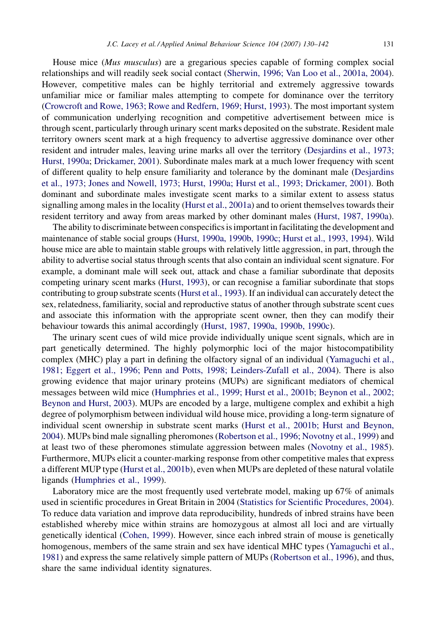House mice (Mus musculus) are a gregarious species capable of forming complex social relationships and will readily seek social contact ([Sherwin, 1996; Van Loo et al., 2001a, 2004](#page-12-0)). However, competitive males can be highly territorial and extremely aggressive towards unfamiliar mice or familiar males attempting to compete for dominance over the territory ([Crowcroft and Rowe, 1963; Rowe and Redfern, 1969; Hurst, 1993\)](#page-11-0). The most important system of communication underlying recognition and competitive advertisement between mice is through scent, particularly through urinary scent marks deposited on the substrate. Resident male territory owners scent mark at a high frequency to advertise aggressive dominance over other resident and intruder males, leaving urine marks all over the territory ([Desjardins et al., 1973;](#page-11-0) [Hurst, 1990a;](#page-11-0) [Drickamer, 2001\)](#page-11-0). Subordinate males mark at a much lower frequency with scent of different quality to help ensure familiarity and tolerance by the dominant male [\(Desjardins](#page-11-0) [et al., 1973; Jones and Nowell, 1973; Hurst, 1990a; Hurst et al., 1993; Drickamer, 2001\)](#page-11-0). Both dominant and subordinate males investigate scent marks to a similar extent to assess status signalling among males in the locality ([Hurst et al., 2001a\)](#page-11-0) and to orient themselves towards their resident territory and away from areas marked by other dominant males [\(Hurst, 1987, 1990a](#page-11-0)).

The ability to discriminate between conspecifics is important in facilitating the development and maintenance of stable social groups [\(Hurst, 1990a, 1990b, 1990c; Hurst et al., 1993, 1994](#page-11-0)). Wild house mice are able to maintain stable groups with relatively little aggression, in part, through the ability to advertise social status through scents that also contain an individual scent signature. For example, a dominant male will seek out, attack and chase a familiar subordinate that deposits competing urinary scent marks [\(Hurst, 1993](#page-11-0)), or can recognise a familiar subordinate that stops contributing to group substrate scents [\(Hurst et al., 1993\)](#page-11-0). If an individual can accurately detect the sex, relatedness, familiarity, social and reproductive status of another through substrate scent cues and associate this information with the appropriate scent owner, then they can modify their behaviour towards this animal accordingly ([Hurst, 1987, 1990a, 1990b, 1990c](#page-11-0)).

The urinary scent cues of wild mice provide individually unique scent signals, which are in part genetically determined. The highly polymorphic loci of the major histocompatibility complex (MHC) play a part in defining the olfactory signal of an individual ([Yamaguchi et al.,](#page-12-0) [1981; Eggert et al., 1996; Penn and Potts, 1998; Leinders-Zufall et al., 2004\)](#page-12-0). There is also growing evidence that major urinary proteins (MUPs) are significant mediators of chemical messages between wild mice [\(Humphries et al., 1999; Hurst et al., 2001b; Beynon et al., 2002;](#page-11-0) [Beynon and Hurst, 2003](#page-11-0)). MUPs are encoded by a large, multigene complex and exhibit a high degree of polymorphism between individual wild house mice, providing a long-term signature of individual scent ownership in substrate scent marks ([Hurst et al., 2001b; Hurst and Beynon,](#page-11-0) [2004](#page-11-0)). MUPs bind male signalling pheromones [\(Robertson et al., 1996; Novotny et al., 1999](#page-12-0)) and at least two of these pheromones stimulate aggression between males ([Novotny et al., 1985](#page-12-0)). Furthermore, MUPs elicit a counter-marking response from other competitive males that express a different MUP type ([Hurst et al., 2001b](#page-11-0)), even when MUPs are depleted of these natural volatile ligands ([Humphries et al., 1999\)](#page-11-0).

Laboratory mice are the most frequently used vertebrate model, making up 67% of animals used in scientific procedures in Great Britain in 2004 ([Statistics for Scientific Procedures, 2004](#page-12-0)). To reduce data variation and improve data reproducibility, hundreds of inbred strains have been established whereby mice within strains are homozygous at almost all loci and are virtually genetically identical [\(Cohen, 1999\)](#page-11-0). However, since each inbred strain of mouse is genetically homogenous, members of the same strain and sex have identical MHC types ([Yamaguchi et al.,](#page-12-0) [1981](#page-12-0)) and express the same relatively simple pattern of MUPs ([Robertson et al., 1996](#page-12-0)), and thus, share the same individual identity signatures.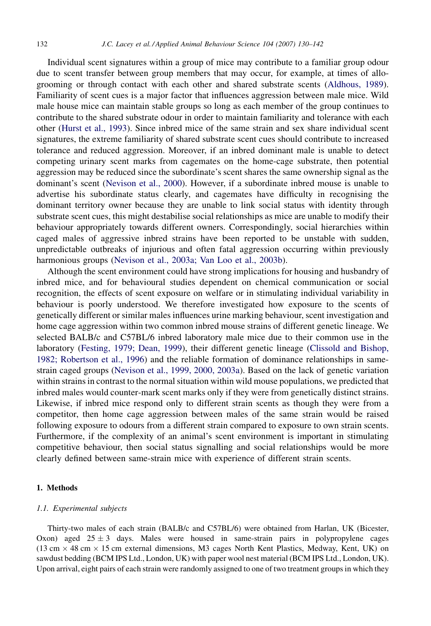Individual scent signatures within a group of mice may contribute to a familiar group odour due to scent transfer between group members that may occur, for example, at times of allogrooming or through contact with each other and shared substrate scents ([Aldhous, 1989](#page-10-0)). Familiarity of scent cues is a major factor that influences aggression between male mice. Wild male house mice can maintain stable groups so long as each member of the group continues to contribute to the shared substrate odour in order to maintain familiarity and tolerance with each other ([Hurst et al., 1993\)](#page-11-0). Since inbred mice of the same strain and sex share individual scent signatures, the extreme familiarity of shared substrate scent cues should contribute to increased tolerance and reduced aggression. Moreover, if an inbred dominant male is unable to detect competing urinary scent marks from cagemates on the home-cage substrate, then potential aggression may be reduced since the subordinate's scent shares the same ownership signal as the dominant's scent ([Nevison et al., 2000\)](#page-12-0). However, if a subordinate inbred mouse is unable to advertise his subordinate status clearly, and cagemates have difficulty in recognising the dominant territory owner because they are unable to link social status with identity through substrate scent cues, this might destabilise social relationships as mice are unable to modify their behaviour appropriately towards different owners. Correspondingly, social hierarchies within caged males of aggressive inbred strains have been reported to be unstable with sudden, unpredictable outbreaks of injurious and often fatal aggression occurring within previously harmonious groups ([Nevison et al., 2003a; Van Loo et al., 2003b\)](#page-12-0).

Although the scent environment could have strong implications for housing and husbandry of inbred mice, and for behavioural studies dependent on chemical communication or social recognition, the effects of scent exposure on welfare or in stimulating individual variability in behaviour is poorly understood. We therefore investigated how exposure to the scents of genetically different or similar males influences urine marking behaviour, scent investigation and home cage aggression within two common inbred mouse strains of different genetic lineage. We selected BALB/c and C57BL/6 inbred laboratory male mice due to their common use in the laboratory [\(Festing, 1979; Dean, 1999\)](#page-11-0), their different genetic lineage ([Clissold and Bishop,](#page-11-0) [1982; Robertson et al., 1996\)](#page-11-0) and the reliable formation of dominance relationships in samestrain caged groups [\(Nevison et al., 1999, 2000, 2003a](#page-12-0)). Based on the lack of genetic variation within strains in contrast to the normal situation within wild mouse populations, we predicted that inbred males would counter-mark scent marks only if they were from genetically distinct strains. Likewise, if inbred mice respond only to different strain scents as though they were from a competitor, then home cage aggression between males of the same strain would be raised following exposure to odours from a different strain compared to exposure to own strain scents. Furthermore, if the complexity of an animal's scent environment is important in stimulating competitive behaviour, then social status signalling and social relationships would be more clearly defined between same-strain mice with experience of different strain scents.

#### 1. Methods

## 1.1. Experimental subjects

Thirty-two males of each strain (BALB/c and C57BL/6) were obtained from Harlan, UK (Bicester, Oxon) aged  $25 \pm 3$  days. Males were housed in same-strain pairs in polypropylene cages  $(13 \text{ cm} \times 48 \text{ cm} \times 15 \text{ cm}$  external dimensions, M3 cages North Kent Plastics, Medway, Kent, UK) on sawdust bedding (BCM IPS Ltd., London, UK) with paper wool nest material (BCM IPS Ltd., London, UK). Upon arrival, eight pairs of each strain were randomly assigned to one of two treatment groups in which they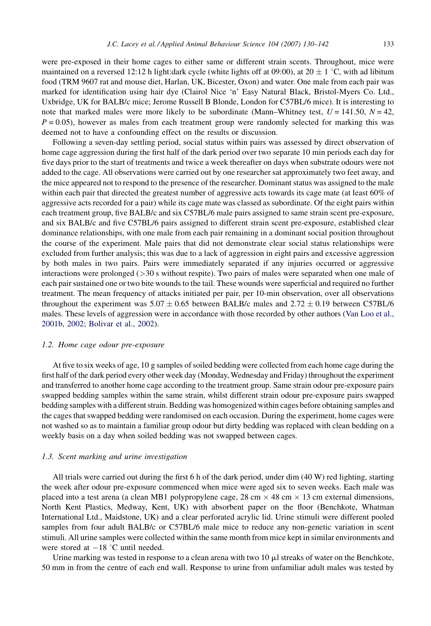were pre-exposed in their home cages to either same or different strain scents. Throughout, mice were maintained on a reversed 12:12 h light:dark cycle (white lights off at 09:00), at 20  $\pm$  1 °C, with ad libitum food (TRM 9607 rat and mouse diet, Harlan, UK, Bicester, Oxon) and water. One male from each pair was marked for identification using hair dye (Clairol Nice 'n' Easy Natural Black, Bristol-Myers Co. Ltd., Uxbridge, UK for BALB/c mice; Jerome Russell B Blonde, London for C57BL/6 mice). It is interesting to note that marked males were more likely to be subordinate (Mann–Whitney test,  $U = 141.50$ ,  $N = 42$ ,  $P = 0.05$ ), however as males from each treatment group were randomly selected for marking this was deemed not to have a confounding effect on the results or discussion.

Following a seven-day settling period, social status within pairs was assessed by direct observation of home cage aggression during the first half of the dark period over two separate 10 min periods each day for five days prior to the start of treatments and twice a week thereafter on days when substrate odours were not added to the cage. All observations were carried out by one researcher sat approximately two feet away, and the mice appeared not to respond to the presence of the researcher. Dominant status was assigned to the male within each pair that directed the greatest number of aggressive acts towards its cage mate (at least 60% of aggressive acts recorded for a pair) while its cage mate was classed as subordinate. Of the eight pairs within each treatment group, five BALB/c and six C57BL/6 male pairs assigned to same strain scent pre-exposure, and six BALB/c and five C57BL/6 pairs assigned to different strain scent pre-exposure, established clear dominance relationships, with one male from each pair remaining in a dominant social position throughout the course of the experiment. Male pairs that did not demonstrate clear social status relationships were excluded from further analysis; this was due to a lack of aggression in eight pairs and excessive aggression by both males in two pairs. Pairs were immediately separated if any injuries occurred or aggressive interactions were prolonged (>30 s without respite). Two pairs of males were separated when one male of each pair sustained one or two bite wounds to the tail. These wounds were superficial and required no further treatment. The mean frequency of attacks initiated per pair, per 10-min observation, over all observations throughout the experiment was  $5.07 \pm 0.65$  between BALB/c males and  $2.72 \pm 0.19$  between C57BL/6 males. These levels of aggression were in accordance with those recorded by other authors [\(Van Loo et al.,](#page-12-0) [2001b, 2002; Bolivar et al., 2002\)](#page-12-0).

#### 1.2. Home cage odour pre-exposure

At five to six weeks of age, 10 g samples of soiled bedding were collected from each home cage during the first half of the dark period every other week day (Monday, Wednesday and Friday) throughout the experiment and transferred to another home cage according to the treatment group. Same strain odour pre-exposure pairs swapped bedding samples within the same strain, whilst different strain odour pre-exposure pairs swapped bedding samples with a different strain. Bedding was homogenized within cages before obtaining samples and the cages that swapped bedding were randomised on each occasion. During the experiment, home cages were not washed so as to maintain a familiar group odour but dirty bedding was replaced with clean bedding on a weekly basis on a day when soiled bedding was not swapped between cages.

#### 1.3. Scent marking and urine investigation

All trials were carried out during the first 6 h of the dark period, under dim (40 W) red lighting, starting the week after odour pre-exposure commenced when mice were aged six to seven weeks. Each male was placed into a test arena (a clean MB1 polypropylene cage,  $28 \text{ cm} \times 48 \text{ cm} \times 13 \text{ cm}$  external dimensions, North Kent Plastics, Medway, Kent, UK) with absorbent paper on the floor (Benchkote, Whatman International Ltd., Maidstone, UK) and a clear perforated acrylic lid. Urine stimuli were different pooled samples from four adult BALB/c or C57BL/6 male mice to reduce any non-genetic variation in scent stimuli. All urine samples were collected within the same month from mice kept in similar environments and were stored at  $-18$  °C until needed.

Urine marking was tested in response to a clean arena with two  $10 \mu$  streaks of water on the Benchkote, 50 mm in from the centre of each end wall. Response to urine from unfamiliar adult males was tested by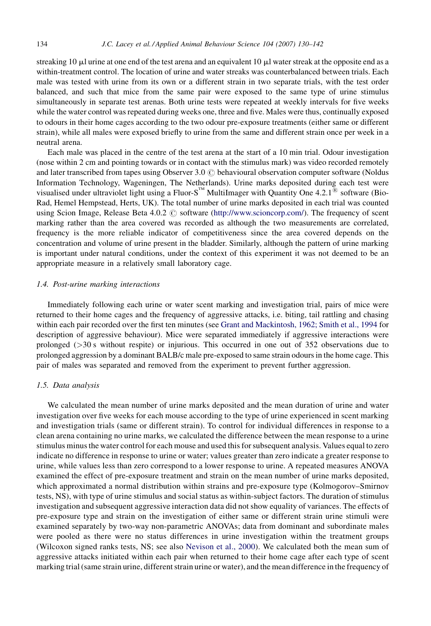streaking 10  $\mu$ l urine at one end of the test arena and an equivalent 10  $\mu$ l water streak at the opposite end as a within-treatment control. The location of urine and water streaks was counterbalanced between trials. Each male was tested with urine from its own or a different strain in two separate trials, with the test order balanced, and such that mice from the same pair were exposed to the same type of urine stimulus simultaneously in separate test arenas. Both urine tests were repeated at weekly intervals for five weeks while the water control was repeated during weeks one, three and five. Males were thus, continually exposed to odours in their home cages according to the two odour pre-exposure treatments (either same or different strain), while all males were exposed briefly to urine from the same and different strain once per week in a neutral arena.

Each male was placed in the centre of the test arena at the start of a 10 min trial. Odour investigation (nose within 2 cm and pointing towards or in contact with the stimulus mark) was video recorded remotely and later transcribed from tapes using Observer 3.0  $\odot$  behavioural observation computer software (Noldus Information Technology, Wageningen, The Netherlands). Urine marks deposited during each test were visualised under ultraviolet light using a Fluor-S<sup>TM</sup> MultiImager with Quantity One 4.2.1<sup><sup>®</sup> software (Bio-</sup> Rad, Hemel Hempstead, Herts, UK). The total number of urine marks deposited in each trial was counted using Scion Image, Release Beta  $4.0.2 \text{ } \odot$  software [\(http://www.scioncorp.com/\)](http://www.scioncorp.com/). The frequency of scent marking rather than the area covered was recorded as although the two measurements are correlated, frequency is the more reliable indicator of competitiveness since the area covered depends on the concentration and volume of urine present in the bladder. Similarly, although the pattern of urine marking is important under natural conditions, under the context of this experiment it was not deemed to be an appropriate measure in a relatively small laboratory cage.

#### 1.4. Post-urine marking interactions

Immediately following each urine or water scent marking and investigation trial, pairs of mice were returned to their home cages and the frequency of aggressive attacks, i.e. biting, tail rattling and chasing within each pair recorded over the first ten minutes (see [Grant and Mackintosh, 1962; Smith et al., 1994](#page-11-0) for description of aggressive behaviour). Mice were separated immediately if aggressive interactions were prolonged (>30 s without respite) or injurious. This occurred in one out of 352 observations due to prolonged aggression by a dominant BALB/c male pre-exposed to same strain odours in the home cage. This pair of males was separated and removed from the experiment to prevent further aggression.

### 1.5. Data analysis

We calculated the mean number of urine marks deposited and the mean duration of urine and water investigation over five weeks for each mouse according to the type of urine experienced in scent marking and investigation trials (same or different strain). To control for individual differences in response to a clean arena containing no urine marks, we calculated the difference between the mean response to a urine stimulus minus the water control for each mouse and used this for subsequent analysis. Values equal to zero indicate no difference in response to urine or water; values greater than zero indicate a greater response to urine, while values less than zero correspond to a lower response to urine. A repeated measures ANOVA examined the effect of pre-exposure treatment and strain on the mean number of urine marks deposited, which approximated a normal distribution within strains and pre-exposure type (Kolmogorov–Smirnov tests, NS), with type of urine stimulus and social status as within-subject factors. The duration of stimulus investigation and subsequent aggressive interaction data did not show equality of variances. The effects of pre-exposure type and strain on the investigation of either same or different strain urine stimuli were examined separately by two-way non-parametric ANOVAs; data from dominant and subordinate males were pooled as there were no status differences in urine investigation within the treatment groups (Wilcoxon signed ranks tests, NS; see also [Nevison et al., 2000](#page-12-0)). We calculated both the mean sum of aggressive attacks initiated within each pair when returned to their home cage after each type of scent marking trial (same strain urine, different strain urine or water), and the mean difference in the frequency of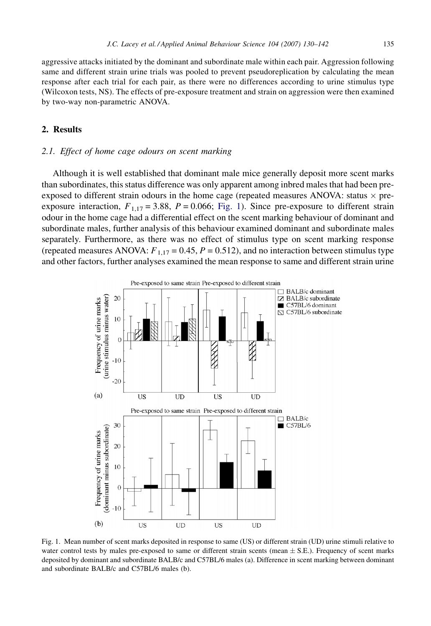<span id="page-5-0"></span>aggressive attacks initiated by the dominant and subordinate male within each pair. Aggression following same and different strain urine trials was pooled to prevent pseudoreplication by calculating the mean response after each trial for each pair, as there were no differences according to urine stimulus type (Wilcoxon tests, NS). The effects of pre-exposure treatment and strain on aggression were then examined by two-way non-parametric ANOVA.

## 2. Results

## 2.1. Effect of home cage odours on scent marking

Although it is well established that dominant male mice generally deposit more scent marks than subordinates, this status difference was only apparent among inbred males that had been preexposed to different strain odours in the home cage (repeated measures ANOVA: status  $\times$  preexposure interaction,  $F_{1,17} = 3.88$ ,  $P = 0.066$ ; Fig. 1). Since pre-exposure to different strain odour in the home cage had a differential effect on the scent marking behaviour of dominant and subordinate males, further analysis of this behaviour examined dominant and subordinate males separately. Furthermore, as there was no effect of stimulus type on scent marking response (repeated measures ANOVA:  $F_{1,17} = 0.45$ ,  $P = 0.512$ ), and no interaction between stimulus type and other factors, further analyses examined the mean response to same and different strain urine



Fig. 1. Mean number of scent marks deposited in response to same (US) or different strain (UD) urine stimuli relative to water control tests by males pre-exposed to same or different strain scents (mean  $\pm$  S.E.). Frequency of scent marks deposited by dominant and subordinate BALB/c and C57BL/6 males (a). Difference in scent marking between dominant and subordinate BALB/c and C57BL/6 males (b).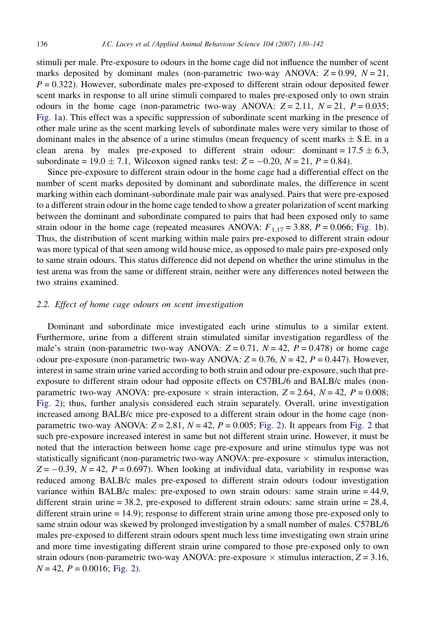stimuli per male. Pre-exposure to odours in the home cage did not influence the number of scent marks deposited by dominant males (non-parametric two-way ANOVA:  $Z = 0.99$ ,  $N = 21$ ,  $P = 0.322$ ). However, subordinate males pre-exposed to different strain odour deposited fewer scent marks in response to all urine stimuli compared to males pre-exposed only to own strain odours in the home cage (non-parametric two-way ANOVA:  $Z = 2.11$ ,  $N = 21$ ,  $P = 0.035$ ; [Fig. 1](#page-5-0)a). This effect was a specific suppression of subordinate scent marking in the presence of other male urine as the scent marking levels of subordinate males were very similar to those of dominant males in the absence of a urine stimulus (mean frequency of scent marks  $\pm$  S.E. in a clean arena by males pre-exposed to different strain odour: dominant =  $17.5 \pm 6.3$ , subordinate =  $19.0 \pm 7.1$ , Wilcoxon signed ranks test:  $Z = -0.20$ ,  $N = 21$ ,  $P = 0.84$ ).

Since pre-exposure to different strain odour in the home cage had a differential effect on the number of scent marks deposited by dominant and subordinate males, the difference in scent marking within each dominant-subordinate male pair was analysed. Pairs that were pre-exposed to a different strain odour in the home cage tended to show a greater polarization of scent marking between the dominant and subordinate compared to pairs that had been exposed only to same strain odour in the home cage (repeated measures ANOVA:  $F_{1,17} = 3.88$ ,  $P = 0.066$ ; [Fig. 1](#page-5-0)b). Thus, the distribution of scent marking within male pairs pre-exposed to different strain odour was more typical of that seen among wild house mice, as opposed to male pairs pre-exposed only to same strain odours. This status difference did not depend on whether the urine stimulus in the test arena was from the same or different strain, neither were any differences noted between the two strains examined.

## 2.2. Effect of home cage odours on scent investigation

Dominant and subordinate mice investigated each urine stimulus to a similar extent. Furthermore, urine from a different strain stimulated similar investigation regardless of the male's strain (non-parametric two-way ANOVA:  $Z = 0.71$ ,  $N = 42$ ,  $P = 0.478$ ) or home cage odour pre-exposure (non-parametric two-way ANOVA:  $Z = 0.76$ ,  $N = 42$ ,  $P = 0.447$ ). However, interest in same strain urine varied according to both strain and odour pre-exposure, such that preexposure to different strain odour had opposite effects on C57BL/6 and BALB/c males (nonparametric two-way ANOVA: pre-exposure  $\times$  strain interaction,  $Z = 2.64$ ,  $N = 42$ ,  $P = 0.008$ ; [Fig. 2\)](#page-7-0); thus, further analysis considered each strain separately. Overall, urine investigation increased among BALB/c mice pre-exposed to a different strain odour in the home cage (nonparametric two-way ANOVA:  $Z = 2.81$ ,  $N = 42$ ,  $P = 0.005$ ; [Fig. 2](#page-7-0)). It appears from Fig. 2 that such pre-exposure increased interest in same but not different strain urine. However, it must be noted that the interaction between home cage pre-exposure and urine stimulus type was not statistically significant (non-parametric two-way ANOVA: pre-exposure  $\times$  stimulus interaction,  $Z = -0.39$ ,  $N = 42$ ,  $P = 0.697$ ). When looking at individual data, variability in response was reduced among BALB/c males pre-exposed to different strain odours (odour investigation variance within BALB/c males: pre-exposed to own strain odours: same strain urine = 44.9, different strain urine  $= 38.2$ , pre-exposed to different strain odours: same strain urine  $= 28.4$ , different strain urine = 14.9); response to different strain urine among those pre-exposed only to same strain odour was skewed by prolonged investigation by a small number of males. C57BL/6 males pre-exposed to different strain odours spent much less time investigating own strain urine and more time investigating different strain urine compared to those pre-exposed only to own strain odours (non-parametric two-way ANOVA: pre-exposure  $\times$  stimulus interaction,  $Z = 3.16$ ,  $N = 42$ ,  $P = 0.0016$ ; [Fig. 2](#page-7-0)).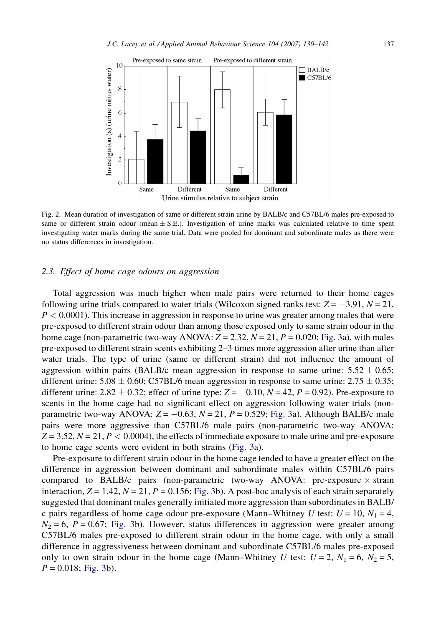<span id="page-7-0"></span>

Fig. 2. Mean duration of investigation of same or different strain urine by BALB/c and C57BL/6 males pre-exposed to same or different strain odour (mean  $\pm$  S.E.). Investigation of urine marks was calculated relative to time spent investigating water marks during the same trial. Data were pooled for dominant and subordinate males as there were no status differences in investigation.

# 2.3. Effect of home cage odours on aggression

Total aggression was much higher when male pairs were returned to their home cages following urine trials compared to water trials (Wilcoxon signed ranks test:  $Z = -3.91$ ,  $N = 21$ ,  $P < 0.0001$ ). This increase in aggression in response to urine was greater among males that were pre-exposed to different strain odour than among those exposed only to same strain odour in the home cage (non-parametric two-way ANOVA:  $Z = 2.32$ ,  $N = 21$ ,  $P = 0.020$ ; [Fig. 3a](#page-8-0)), with males pre-exposed to different strain scents exhibiting 2–3 times more aggression after urine than after water trials. The type of urine (same or different strain) did not influence the amount of aggression within pairs (BALB/c mean aggression in response to same urine:  $5.52 \pm 0.65$ ; different urine:  $5.08 \pm 0.60$ ; C57BL/6 mean aggression in response to same urine:  $2.75 \pm 0.35$ ; different urine:  $2.82 \pm 0.32$ ; effect of urine type:  $Z = -0.10$ ,  $N = 42$ ,  $P = 0.92$ ). Pre-exposure to scents in the home cage had no significant effect on aggression following water trials (nonparametric two-way ANOVA:  $Z = -0.63$ ,  $N = 21$ ,  $P = 0.529$ ; [Fig. 3a](#page-8-0)). Although BALB/c male pairs were more aggressive than C57BL/6 male pairs (non-parametric two-way ANOVA:  $Z = 3.52$ ,  $N = 21$ ,  $P < 0.0004$ ), the effects of immediate exposure to male urine and pre-exposure to home cage scents were evident in both strains ([Fig. 3](#page-8-0)a).

Pre-exposure to different strain odour in the home cage tended to have a greater effect on the difference in aggression between dominant and subordinate males within C57BL/6 pairs compared to BALB/c pairs (non-parametric two-way ANOVA: pre-exposure  $\times$  strain interaction,  $Z = 1.42$ ,  $N = 21$ ,  $P = 0.156$ ; [Fig. 3](#page-8-0)b). A post-hoc analysis of each strain separately suggested that dominant males generally initiated more aggression than subordinates in BALB/ c pairs regardless of home cage odour pre-exposure (Mann–Whitney U test:  $U = 10$ ,  $N_1 = 4$ ,  $N_2 = 6$ ,  $P = 0.67$ ; [Fig. 3](#page-8-0)b). However, status differences in aggression were greater among C57BL/6 males pre-exposed to different strain odour in the home cage, with only a small difference in aggressiveness between dominant and subordinate C57BL/6 males pre-exposed only to own strain odour in the home cage (Mann–Whitney U test:  $U = 2$ ,  $N_1 = 6$ ,  $N_2 = 5$ ,  $P = 0.018$ ; [Fig. 3](#page-8-0)b).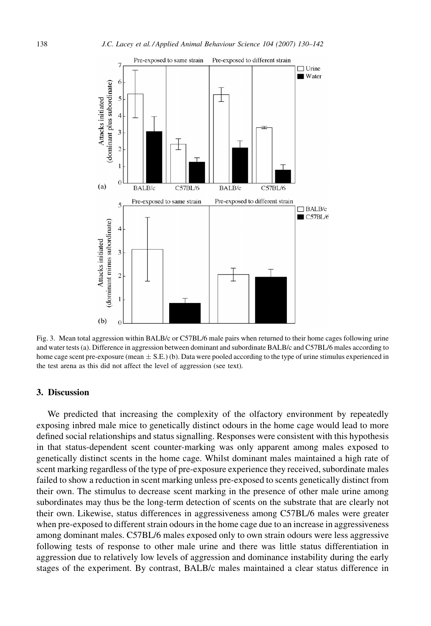<span id="page-8-0"></span>

Fig. 3. Mean total aggression within BALB/c or C57BL/6 male pairs when returned to their home cages following urine and water tests (a). Difference in aggression between dominant and subordinate BALB/c and C57BL/6 males according to home cage scent pre-exposure (mean  $\pm$  S.E.) (b). Data were pooled according to the type of urine stimulus experienced in the test arena as this did not affect the level of aggression (see text).

# 3. Discussion

We predicted that increasing the complexity of the olfactory environment by repeatedly exposing inbred male mice to genetically distinct odours in the home cage would lead to more defined social relationships and status signalling. Responses were consistent with this hypothesis in that status-dependent scent counter-marking was only apparent among males exposed to genetically distinct scents in the home cage. Whilst dominant males maintained a high rate of scent marking regardless of the type of pre-exposure experience they received, subordinate males failed to show a reduction in scent marking unless pre-exposed to scents genetically distinct from their own. The stimulus to decrease scent marking in the presence of other male urine among subordinates may thus be the long-term detection of scents on the substrate that are clearly not their own. Likewise, status differences in aggressiveness among C57BL/6 males were greater when pre-exposed to different strain odours in the home cage due to an increase in aggressiveness among dominant males. C57BL/6 males exposed only to own strain odours were less aggressive following tests of response to other male urine and there was little status differentiation in aggression due to relatively low levels of aggression and dominance instability during the early stages of the experiment. By contrast, BALB/c males maintained a clear status difference in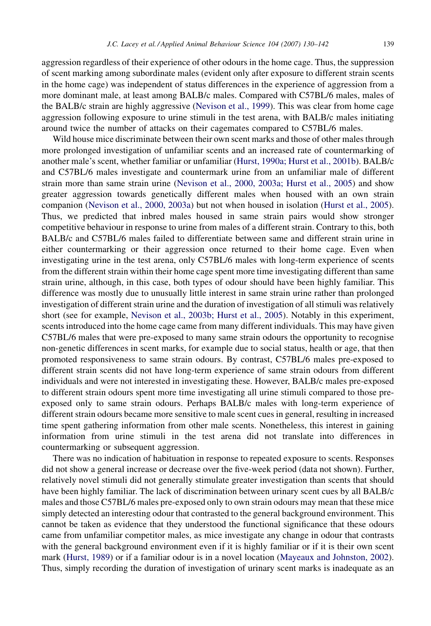aggression regardless of their experience of other odours in the home cage. Thus, the suppression of scent marking among subordinate males (evident only after exposure to different strain scents in the home cage) was independent of status differences in the experience of aggression from a more dominant male, at least among BALB/c males. Compared with C57BL/6 males, males of the BALB/c strain are highly aggressive ([Nevison et al., 1999](#page-12-0)). This was clear from home cage aggression following exposure to urine stimuli in the test arena, with BALB/c males initiating around twice the number of attacks on their cagemates compared to C57BL/6 males.

Wild house mice discriminate between their own scent marks and those of other males through more prolonged investigation of unfamiliar scents and an increased rate of countermarking of another male's scent, whether familiar or unfamiliar [\(Hurst, 1990a; Hurst et al., 2001b](#page-11-0)). BALB/c and C57BL/6 males investigate and countermark urine from an unfamiliar male of different strain more than same strain urine [\(Nevison et al., 2000, 2003a; Hurst et al., 2005\)](#page-12-0) and show greater aggression towards genetically different males when housed with an own strain companion [\(Nevison et al., 2000, 2003a](#page-12-0)) but not when housed in isolation ([Hurst et al., 2005](#page-11-0)). Thus, we predicted that inbred males housed in same strain pairs would show stronger competitive behaviour in response to urine from males of a different strain. Contrary to this, both BALB/c and C57BL/6 males failed to differentiate between same and different strain urine in either countermarking or their aggression once returned to their home cage. Even when investigating urine in the test arena, only C57BL/6 males with long-term experience of scents from the different strain within their home cage spent more time investigating different than same strain urine, although, in this case, both types of odour should have been highly familiar. This difference was mostly due to unusually little interest in same strain urine rather than prolonged investigation of different strain urine and the duration of investigation of all stimuli was relatively short (see for example, [Nevison et al., 2003b; Hurst et al., 2005](#page-12-0)). Notably in this experiment, scents introduced into the home cage came from many different individuals. This may have given C57BL/6 males that were pre-exposed to many same strain odours the opportunity to recognise non-genetic differences in scent marks, for example due to social status, health or age, that then promoted responsiveness to same strain odours. By contrast, C57BL/6 males pre-exposed to different strain scents did not have long-term experience of same strain odours from different individuals and were not interested in investigating these. However, BALB/c males pre-exposed to different strain odours spent more time investigating all urine stimuli compared to those preexposed only to same strain odours. Perhaps BALB/c males with long-term experience of different strain odours became more sensitive to male scent cues in general, resulting in increased time spent gathering information from other male scents. Nonetheless, this interest in gaining information from urine stimuli in the test arena did not translate into differences in countermarking or subsequent aggression.

There was no indication of habituation in response to repeated exposure to scents. Responses did not show a general increase or decrease over the five-week period (data not shown). Further, relatively novel stimuli did not generally stimulate greater investigation than scents that should have been highly familiar. The lack of discrimination between urinary scent cues by all BALB/c males and those C57BL/6 males pre-exposed only to own strain odours may mean that these mice simply detected an interesting odour that contrasted to the general background environment. This cannot be taken as evidence that they understood the functional significance that these odours came from unfamiliar competitor males, as mice investigate any change in odour that contrasts with the general background environment even if it is highly familiar or if it is their own scent mark [\(Hurst, 1989](#page-11-0)) or if a familiar odour is in a novel location [\(Mayeaux and Johnston, 2002](#page-12-0)). Thus, simply recording the duration of investigation of urinary scent marks is inadequate as an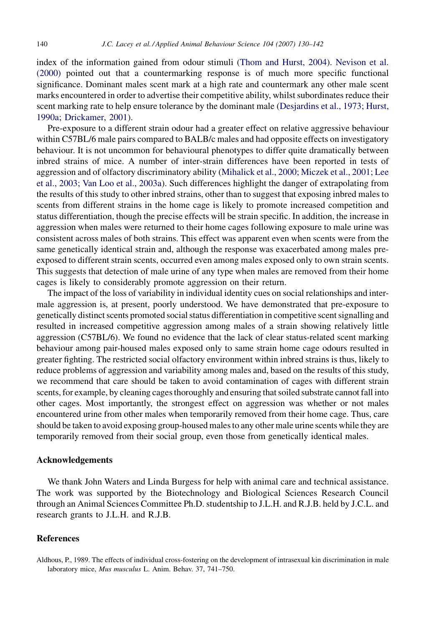<span id="page-10-0"></span>index of the information gained from odour stimuli ([Thom and Hurst, 2004\)](#page-12-0). [Nevison et al.](#page-12-0) [\(2000\)](#page-12-0) pointed out that a countermarking response is of much more specific functional significance. Dominant males scent mark at a high rate and countermark any other male scent marks encountered in order to advertise their competitive ability, whilst subordinates reduce their scent marking rate to help ensure tolerance by the dominant male ([Desjardins et al., 1973; Hurst,](#page-11-0) [1990a; Drickamer, 2001\)](#page-11-0).

Pre-exposure to a different strain odour had a greater effect on relative aggressive behaviour within C57BL/6 male pairs compared to BALB/c males and had opposite effects on investigatory behaviour. It is not uncommon for behavioural phenotypes to differ quite dramatically between inbred strains of mice. A number of inter-strain differences have been reported in tests of aggression and of olfactory discriminatory ability ([Mihalick et al., 2000; Miczek et al., 2001; Lee](#page-12-0) [et al., 2003; Van Loo et al., 2003a\)](#page-12-0). Such differences highlight the danger of extrapolating from the results of this study to other inbred strains, other than to suggest that exposing inbred males to scents from different strains in the home cage is likely to promote increased competition and status differentiation, though the precise effects will be strain specific. In addition, the increase in aggression when males were returned to their home cages following exposure to male urine was consistent across males of both strains. This effect was apparent even when scents were from the same genetically identical strain and, although the response was exacerbated among males preexposed to different strain scents, occurred even among males exposed only to own strain scents. This suggests that detection of male urine of any type when males are removed from their home cages is likely to considerably promote aggression on their return.

The impact of the loss of variability in individual identity cues on social relationships and intermale aggression is, at present, poorly understood. We have demonstrated that pre-exposure to genetically distinct scents promoted social status differentiation in competitive scent signalling and resulted in increased competitive aggression among males of a strain showing relatively little aggression (C57BL/6). We found no evidence that the lack of clear status-related scent marking behaviour among pair-housed males exposed only to same strain home cage odours resulted in greater fighting. The restricted social olfactory environment within inbred strains is thus, likely to reduce problems of aggression and variability among males and, based on the results of this study, we recommend that care should be taken to avoid contamination of cages with different strain scents, for example, by cleaning cages thoroughly and ensuring that soiled substrate cannot fall into other cages. Most importantly, the strongest effect on aggression was whether or not males encountered urine from other males when temporarily removed from their home cage. Thus, care should be taken to avoid exposing group-housed males to any other male urine scents while they are temporarily removed from their social group, even those from genetically identical males.

#### Acknowledgements

We thank John Waters and Linda Burgess for help with animal care and technical assistance. The work was supported by the Biotechnology and Biological Sciences Research Council through an Animal Sciences Committee Ph.D. studentship to J.L.H. and R.J.B. held by J.C.L. and research grants to J.L.H. and R.J.B.

## References

Aldhous, P., 1989. The effects of individual cross-fostering on the development of intrasexual kin discrimination in male laboratory mice, Mus musculus L. Anim. Behav. 37, 741–750.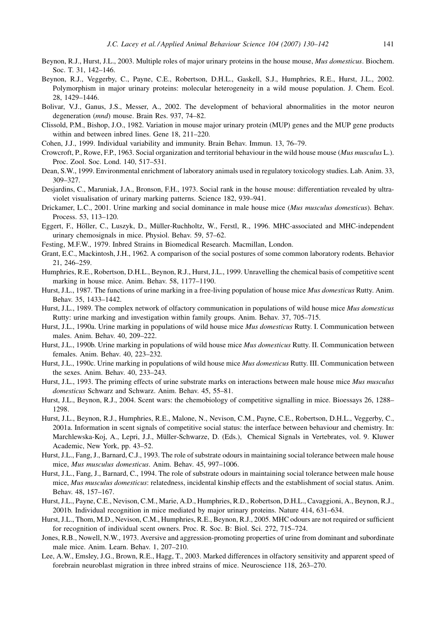- <span id="page-11-0"></span>Beynon, R.J., Hurst, J.L., 2003. Multiple roles of major urinary proteins in the house mouse, Mus domesticus. Biochem. Soc. T. 31, 142–146.
- Beynon, R.J., Veggerby, C., Payne, C.E., Robertson, D.H.L., Gaskell, S.J., Humphries, R.E., Hurst, J.L., 2002. Polymorphism in major urinary proteins: molecular heterogeneity in a wild mouse population. J. Chem. Ecol. 28, 1429–1446.
- Bolivar, V.J., Ganus, J.S., Messer, A., 2002. The development of behavioral abnormalities in the motor neuron degeneration (mnd) mouse. Brain Res. 937, 74–82.
- Clissold, P.M., Bishop, J.O., 1982. Variation in mouse major urinary protein (MUP) genes and the MUP gene products within and between inbred lines. Gene 18, 211–220.
- Cohen, J.J., 1999. Individual variability and immunity. Brain Behav. Immun. 13, 76–79.
- Crowcroft, P., Rowe, F.P., 1963. Social organization and territorial behaviour in the wild house mouse (Mus musculus L.). Proc. Zool. Soc. Lond. 140, 517–531.
- Dean, S.W., 1999. Environmental enrichment of laboratory animals used in regulatory toxicology studies. Lab. Anim. 33, 309–327.
- Desjardins, C., Maruniak, J.A., Bronson, F.H., 1973. Social rank in the house mouse: differentiation revealed by ultraviolet visualisation of urinary marking patterns. Science 182, 939–941.
- Drickamer, L.C., 2001. Urine marking and social dominance in male house mice (Mus musculus domesticus). Behav. Process. 53, 113–120.
- Eggert, F., Höller, C., Luszyk, D., Müller-Ruchholtz, W., Ferstl, R., 1996. MHC-associated and MHC-independent urinary chemosignals in mice. Physiol. Behav. 59, 57–62.
- Festing, M.F.W., 1979. Inbred Strains in Biomedical Research. Macmillan, London.
- Grant, E.C., Mackintosh, J.H., 1962. A comparison of the social postures of some common laboratory rodents. Behavior 21, 246–259.
- Humphries, R.E., Robertson, D.H.L., Beynon, R.J., Hurst, J.L., 1999. Unravelling the chemical basis of competitive scent marking in house mice. Anim. Behav. 58, 1177–1190.
- Hurst, J.L., 1987. The functions of urine marking in a free-living population of house mice Mus domesticus Rutty. Anim. Behav. 35, 1433–1442.
- Hurst, J.L., 1989. The complex network of olfactory communication in populations of wild house mice Mus domesticus Rutty: urine marking and investigation within family groups. Anim. Behav. 37, 705–715.
- Hurst, J.L., 1990a. Urine marking in populations of wild house mice Mus domesticus Rutty. I. Communication between males. Anim. Behav. 40, 209–222.
- Hurst, J.L., 1990b. Urine marking in populations of wild house mice Mus domesticus Rutty. II. Communication between females. Anim. Behav. 40, 223–232.
- Hurst, J.L., 1990c. Urine marking in populations of wild house mice *Mus domesticus* Rutty. III. Communication between the sexes. Anim. Behav. 40, 233–243.
- Hurst, J.L., 1993. The priming effects of urine substrate marks on interactions between male house mice Mus musculus domesticus Schwarz and Schwarz. Anim. Behav. 45, 55–81.
- Hurst, J.L., Beynon, R.J., 2004. Scent wars: the chemobiology of competitive signalling in mice. Bioessays 26, 1288– 1298.
- Hurst, J.L., Beynon, R.J., Humphries, R.E., Malone, N., Nevison, C.M., Payne, C.E., Robertson, D.H.L., Veggerby, C., 2001a. Information in scent signals of competitive social status: the interface between behaviour and chemistry. In: Marchlewska-Koj, A., Lepri, J.J., Müller-Schwarze, D. (Eds.), Chemical Signals in Vertebrates, vol. 9. Kluwer Academic, New York, pp. 43–52.
- Hurst, J.L., Fang, J., Barnard, C.J., 1993. The role of substrate odours in maintaining social tolerance between male house mice, Mus musculus domesticus. Anim. Behav. 45, 997–1006.
- Hurst, J.L., Fang, J., Barnard, C., 1994. The role of substrate odours in maintaining social tolerance between male house mice, Mus musculus domesticus: relatedness, incidental kinship effects and the establishment of social status. Anim. Behav. 48, 157–167.
- Hurst, J.L., Payne, C.E., Nevison, C.M., Marie, A.D., Humphries, R.D., Robertson, D.H.L., Cavaggioni, A., Beynon, R.J., 2001b. Individual recognition in mice mediated by major urinary proteins. Nature 414, 631–634.
- Hurst, J.L., Thom, M.D., Nevison, C.M., Humphries, R.E., Beynon, R.J., 2005. MHC odours are not required or sufficient for recognition of individual scent owners. Proc. R. Soc. B: Biol. Sci. 272, 715–724.
- Jones, R.B., Nowell, N.W., 1973. Aversive and aggression-promoting properties of urine from dominant and subordinate male mice. Anim. Learn. Behav. 1, 207–210.
- Lee, A.W., Emsley, J.G., Brown, R.E., Hagg, T., 2003. Marked differences in olfactory sensitivity and apparent speed of forebrain neuroblast migration in three inbred strains of mice. Neuroscience 118, 263–270.